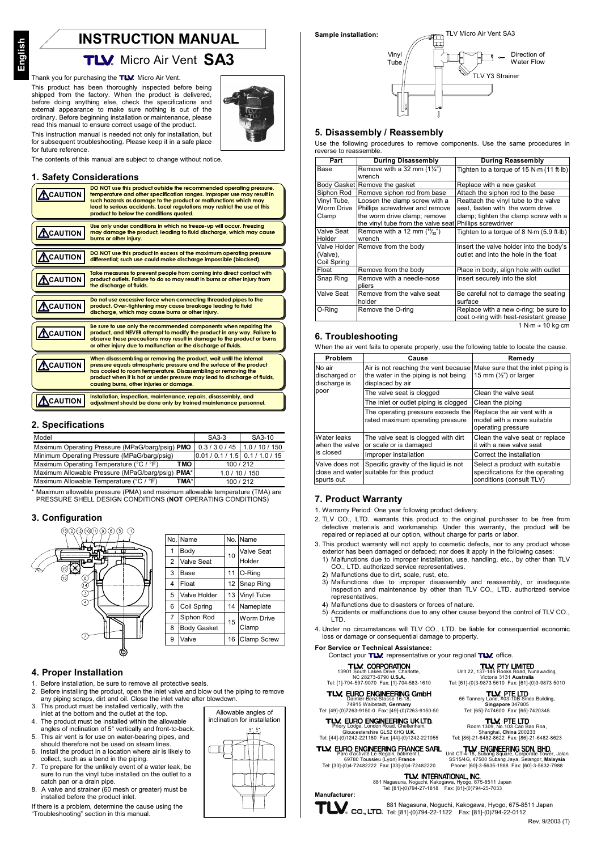# **INSTRUCTION MANUAL**

# **TLV.** Micro Air Vent SA3

# Thank you for purchasing the TLM Micro Air Vent.

This product has been thoroughly inspected before being<br>shipped from the factory. When the product is delivered, before doing anything else, check the specifications and external appearance to make sure nothing is out of the ordinary. Before beginning installation or maintenance. please read this manual to ensure correct usage of the product. This instruction manual is needed not only for installation, but



for subsequent troubleshooting. Please keep it in a safe place for future reference.

The contents of this manual are subiect to change without notice.

#### 1. Safety Considerations

| <b>ACAUTION</b>   | DO NOT use this product outside the recommended operating pressure.<br>temperature and other specification ranges. Improper use may result in<br>such hazards as damage to the product or malfunctions which may<br>lead to serious accidents. Local regulations may restrict the use of this<br>product to below the conditions avoted. |
|-------------------|------------------------------------------------------------------------------------------------------------------------------------------------------------------------------------------------------------------------------------------------------------------------------------------------------------------------------------------|
| $\Lambda$ CAUTION | Use only under conditions in which no freeze-up will occur. Freezing<br>may damage the product, leading to fluid discharge, which may cause<br>burns or other injury.                                                                                                                                                                    |
| <b>ACAUTION</b>   | DO NOT use this product in excess of the maximum operating pressure<br>differential; such use could make discharge impossible (blocked).                                                                                                                                                                                                 |
| <b>ACAUTION</b>   | Take measures to prevent people from coming into direct contact with<br>product outlets. Failure to do so may result in burns or other injury from<br>the discharae of fluids.                                                                                                                                                           |
| <b>ACAUTION</b>   | Do not use excessive force when connecting threaded pipes to the<br>product. Over-fightening may cause breakage leading to fluid<br>discharge, which may cause burns or other injury.                                                                                                                                                    |
| <b>ACAUTION</b>   | Be sure to use only the recommended components when repairing the<br>product, and NEVER attempt to modify the product in any way. Failure to<br>observe these precautions may result in damage to the product or burns<br>or other injury due to malfunction or the discharge of fluids.                                                 |
| <b>CAUTION</b>    | When disassembling or removing the product, wait until the internal<br>pressure equals atmospheric pressure and the surface of the product<br>has cooled to room temperature. Disassembling or removing the<br>product when it is hot or under pressure may lead to discharge of fluids,<br>causing burns, other injuries or damage.     |
| <b>CAUTION</b>    | Installation, inspection, maintenance, repairs, disassembly, and<br>adjustment should be done only by trained maintenance personnel.                                                                                                                                                                                                     |

### 2. Specifications

| Model                                            | $SA3-3$                           | SA3-10         |
|--------------------------------------------------|-----------------------------------|----------------|
| Maximum Operating Pressure (MPaG/barg/psig) PMO  | 0.3/3.0/45                        | 1.0 / 10 / 150 |
| Minimum Operating Pressure (MPaG/barg/psig)      | $0.01 / 0.1 / 1.5$ 0.1 / 1.0 / 15 |                |
| Maximum Operating Temperature (°C / °F)<br>TMO   |                                   | 100/212        |
| Maximum Allowable Pressure (MPaG/barg/psig) PMA* |                                   | 1.0 / 10 / 150 |
| TMA*<br>Maximum Allowable Temperature (°C / °F)  |                                   | 100/212        |

\* Maximum allowable pressure (PMA) and maximum allowable temperature (TMA) are PRESSURE SHELL DESIGN CONDITIONS (NOT OPERATING CONDITIONS)

### 3. Configuration



### 4. Proper Installation

- 1. Before installation, be sure to remove all protective seals.
- Before installing the product, open the inlet valve and blow out the piping to remove  $\mathfrak{p}$ any piping scraps, dirt and oil. Close the inlet valve after blowdown.
- This product must be installed vertically, with the  $\mathbf{z}$ inlet at the bottom and the outlet at the top.
- $\mathbf{A}$ The product must be installed within the allowable angles of inclination of 5° vertically and front-to-back.
- $\overline{5}$ . This air vent is for use on water-bearing pipes, and should therefore not be used on steam lines
- Install the product in a location where air is likely to 6. collect, such as a bend in the piping.
- 7. To prepare for the unlikely event of a water leak, be sure to run the vinyl tube installed on the outlet to a catch pan or a drain pipe.
- 8. A valve and strainer (60 mesh or greater) must be installed before the product inlet.

If there is a problem, determine the cause using the "Troubleshooting" section in this manual.





#### 5. Disassembly / Reassembly

Use the following procedures to remove components. Use the same procedures in reverse to reassemble.

| Part        | <b>During Disassembly</b>                               | <b>During Reassembly</b>                                 |
|-------------|---------------------------------------------------------|----------------------------------------------------------|
| Base        | Remove with a 32 mm $(1\frac{1}{4})$                    | Tighten to a torque of 15 N·m (11 ft·lb)                 |
|             | wrench                                                  |                                                          |
|             | Body Gasket Remove the gasket                           | Replace with a new gasket                                |
| Siphon Rod  | Remove siphon rod from base                             | Attach the siphon rod to the base                        |
| Vinyl Tube, | Loosen the clamp screw with a                           | Reattach the vinyl tube to the valve                     |
| Worm Drive  | Phillips screwdriver and remove                         | seat, fasten with the worm drive                         |
| Clamp       | the worm drive clamp; remove                            | clamp; tighten the clamp screw with a                    |
|             | the vinyl tube from the valve seat Phillips screwdriver |                                                          |
| Valve Seat  | Remove with a 12 mm $(^{15}/_{32})$                     | Tighten to a torque of 8 N $\cdot$ m (5.9 ft $\cdot$ lb) |
| Holder      | wrench                                                  |                                                          |
|             | Valve Holder Remove from the body                       | Insert the valve holder into the body's                  |
| (Valve),    |                                                         | outlet and into the hole in the float                    |
| Coil Spring |                                                         |                                                          |
| Float       | Remove from the body                                    | Place in body, align hole with outlet                    |
| Snap Ring   | Remove with a needle-nose                               | Insert securely into the slot                            |
|             | pliers                                                  |                                                          |
| Valve Seat  | Remove from the valve seat                              | Be careful not to damage the seating                     |
|             | holder                                                  | surface                                                  |
| O-Ring      | Remove the O-ring                                       | Replace with a new o-ring; be sure to                    |
|             |                                                         | coat o-ring with heat-resistant grease                   |
|             |                                                         | 1 N⋅m ≈ 10 kn⋅cm                                         |

## 6. Troubleshooting

When the air vent fails to operate properly, use the following table to locate the cause.

| Problem                                         | Cause                                                                                            | Remedy                                                                                         |
|-------------------------------------------------|--------------------------------------------------------------------------------------------------|------------------------------------------------------------------------------------------------|
| No air<br>discharged or<br>discharge is         | Air is not reaching the vent because<br>the water in the piping is not being<br>displaced by air | Make sure that the inlet piping is<br>15 mm $(\frac{1}{2})$ or larger                          |
| poor                                            | The valve seat is clogged                                                                        | Clean the valve seat                                                                           |
|                                                 | The inlet or outlet piping is clogged                                                            | Clean the piping                                                                               |
|                                                 | The operating pressure exceeds the<br>rated maximum operating pressure                           | Replace the air vent with a<br>model with a more suitable<br>operating pressure                |
| Water leaks<br>when the valve<br>is closed      | The valve seat is clogged with dirt<br>or scale or is damaged                                    | Clean the valve seat or replace<br>it with a new valve seat                                    |
|                                                 | Improper installation                                                                            | Correct the installation                                                                       |
| Valve does not<br>close and water<br>spurts out | Specific gravity of the liquid is not<br>suitable for this product                               | Select a product with suitable<br>specifications for the operating<br>conditions (consult TLV) |

## 7. Product Warranty

- 1. Warranty Period: One year following product delivery.
- 2. TLV CO., LTD, warrants this product to the original purchaser to be free from defective materials and workmanship. Under this warranty, the product will be repaired or replaced at our option, without charge for parts or labor.
- 3. This product warranty will not apply to cosmetic defects, nor to any product whose exterior has been damaged or defaced; nor does it apply in the following cases 1) Malfunctions due to improper installation, use, handling, etc., by other than TLV
	- CO., LTD. authorized service representatives.
	- Malfunctions due to dirt, scale, rust, etc.
- 2) Malfunctions due to improper disassembly and reassembly, or inadequate<br>inspection and maintenance by other than TLV CO., LTD. authorized service representatives. 4) Malfunctions due to disasters or forces of nature.
- 
- 5) Accidents or malfunctions due to any other cause beyond the control of TLV CO., LTD.
- 4. Under no circumstances will TLV CO., LTD. be liable for consequential economic loss or damage or consequential damage to property.

### For Service or Technical Assistance:

**TLV. CORPORATION** 13901 South Lakes Drive, Charlotte,<br>NC 28273-6790 U.S.A.<br>Tel: [1]-704-597-9070 Fax: [1]-704-583-1610

TLV. EURO ENGINEERING GmbH

# 74915 Waibstadt, Germany<br>Tel: [49]-(0)7263-9150-0 Fax: [49]-(0)7263-9150-50 TLV. EURO ENGINEERING UKLTD.

Gloucestershire GL52 6HQ U.K.<br>Gloucestershire GL52 6HQ U.K.<br>Tel: [44]-(0)1242-221180 Fax: [44]-(0)1242-221055

TLV. EURO ENGINEERING FRANCE SARL

Parc d'activité Le Régain, battifiert i,<br>69780 Toussieu (Lyon) **France**<br>Tel: [33]-(0)4-72482222 Fax: [33]-(0)4-72482220

881 Naga

Unit CT-4-18, Subang Square, Corporate Tower, Jalan<br>SS15/4G, 47500 Subang Square, Corporate Tower, Jalan<br>Phone: [60]-3-5635-1988 Fax: [60]-3-5632-7988 U<sub>J</sub>4-7 2-3-222-2<br>**TLV. INTERNATIONAL, INC.**<br>Kologawa, Hyogo, 675-8511 Japan Nagasuna, Noguchi, Kakogawa, Hyogo, 675-8511 Ja<br>Tel: [81]-(0)794-27-1818 Fax: [81]-(0)794-25-7033

Manufacturer:

 $T\mathbf{L}$  co., LTD. Tel: [81]-(0)794-22-1122 Fax: [81]-(0)794-22-0112

# Contact your TLV representative or your regional TLV office.

Unit 22, 137-145 RTY LIMITED<br>Unit 22, 137-145 Rooks Road, Nunawading,<br>Tel: [61]-(0)3-9873 5610 Fax: [61]-(0)3-9873 5610

TW, PTE LTD<br>66 Tannery Lane, #03-10B Sindo Building,<br>Tel: [65]-7474600 Fax: [65]-7420345

**TLV, PTE LTD**<br>Room 1309, No.103 Cao Bao Roa.

Shanghai, China 200233<br>Tel: [86]-21-6482-8622 Fax: [86]-21-6482-8623